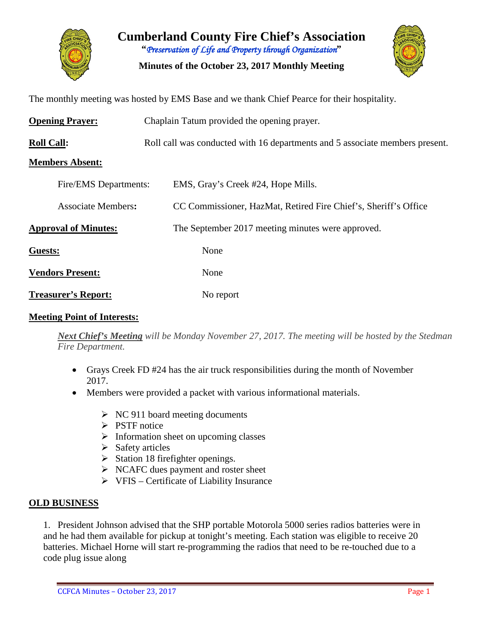

**Cumberland County Fire Chief's Association "***Preservation of Life and Property through Organization***"**

**Minutes of the October 23, 2017 Monthly Meeting**



The monthly meeting was hosted by EMS Base and we thank Chief Pearce for their hospitality.

| <b>Opening Prayer:</b>      | Chaplain Tatum provided the opening prayer.                                  |  |  |  |  |  |  |  |
|-----------------------------|------------------------------------------------------------------------------|--|--|--|--|--|--|--|
| <b>Roll Call:</b>           | Roll call was conducted with 16 departments and 5 associate members present. |  |  |  |  |  |  |  |
| <b>Members Absent:</b>      |                                                                              |  |  |  |  |  |  |  |
| Fire/EMS Departments:       | EMS, Gray's Creek #24, Hope Mills.                                           |  |  |  |  |  |  |  |
| <b>Associate Members:</b>   | CC Commissioner, HazMat, Retired Fire Chief's, Sheriff's Office              |  |  |  |  |  |  |  |
| <b>Approval of Minutes:</b> | The September 2017 meeting minutes were approved.                            |  |  |  |  |  |  |  |
| Guests:                     | None                                                                         |  |  |  |  |  |  |  |
| <b>Vendors Present:</b>     | None                                                                         |  |  |  |  |  |  |  |
| <b>Treasurer's Report:</b>  | No report                                                                    |  |  |  |  |  |  |  |

### **Meeting Point of Interests:**

*Next Chief's Meeting will be Monday November 27, 2017. The meeting will be hosted by the Stedman Fire Department.*

- Grays Creek FD #24 has the air truck responsibilities during the month of November 2017.
- Members were provided a packet with various informational materials.
	- $\triangleright$  NC 911 board meeting documents
	- $\triangleright$  PSTF notice
	- $\triangleright$  Information sheet on upcoming classes
	- $\triangleright$  Safety articles
	- $\triangleright$  Station 18 firefighter openings.
	- $\triangleright$  NCAFC dues payment and roster sheet
	- $\triangleright$  VFIS Certificate of Liability Insurance

### **OLD BUSINESS**

1. President Johnson advised that the SHP portable Motorola 5000 series radios batteries were in and he had them available for pickup at tonight's meeting. Each station was eligible to receive 20 batteries. Michael Horne will start re-programming the radios that need to be re-touched due to a code plug issue along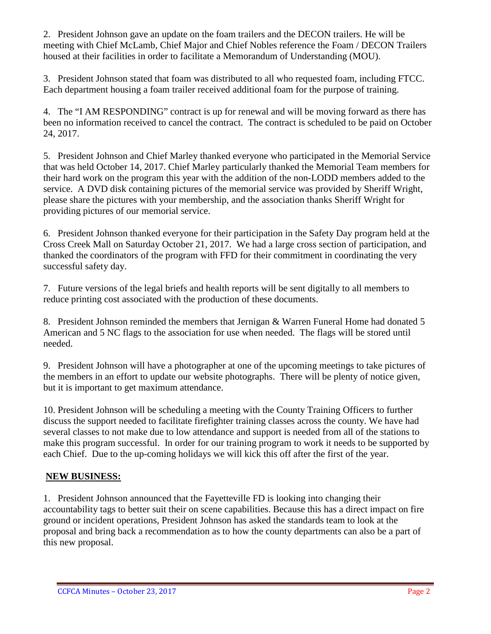2. President Johnson gave an update on the foam trailers and the DECON trailers. He will be meeting with Chief McLamb, Chief Major and Chief Nobles reference the Foam / DECON Trailers housed at their facilities in order to facilitate a Memorandum of Understanding (MOU).

3. President Johnson stated that foam was distributed to all who requested foam, including FTCC. Each department housing a foam trailer received additional foam for the purpose of training.

4. The "I AM RESPONDING" contract is up for renewal and will be moving forward as there has been no information received to cancel the contract. The contract is scheduled to be paid on October 24, 2017.

5. President Johnson and Chief Marley thanked everyone who participated in the Memorial Service that was held October 14, 2017. Chief Marley particularly thanked the Memorial Team members for their hard work on the program this year with the addition of the non-LODD members added to the service. A DVD disk containing pictures of the memorial service was provided by Sheriff Wright, please share the pictures with your membership, and the association thanks Sheriff Wright for providing pictures of our memorial service.

6. President Johnson thanked everyone for their participation in the Safety Day program held at the Cross Creek Mall on Saturday October 21, 2017. We had a large cross section of participation, and thanked the coordinators of the program with FFD for their commitment in coordinating the very successful safety day.

7. Future versions of the legal briefs and health reports will be sent digitally to all members to reduce printing cost associated with the production of these documents.

8. President Johnson reminded the members that Jernigan & Warren Funeral Home had donated 5 American and 5 NC flags to the association for use when needed. The flags will be stored until needed.

9. President Johnson will have a photographer at one of the upcoming meetings to take pictures of the members in an effort to update our website photographs. There will be plenty of notice given, but it is important to get maximum attendance.

10. President Johnson will be scheduling a meeting with the County Training Officers to further discuss the support needed to facilitate firefighter training classes across the county. We have had several classes to not make due to low attendance and support is needed from all of the stations to make this program successful. In order for our training program to work it needs to be supported by each Chief. Due to the up-coming holidays we will kick this off after the first of the year.

# **NEW BUSINESS:**

1. President Johnson announced that the Fayetteville FD is looking into changing their accountability tags to better suit their on scene capabilities. Because this has a direct impact on fire ground or incident operations, President Johnson has asked the standards team to look at the proposal and bring back a recommendation as to how the county departments can also be a part of this new proposal.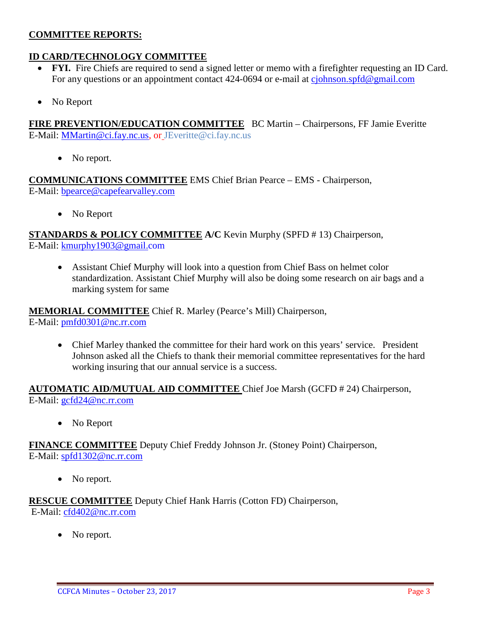## **COMMITTEE REPORTS:**

## **ID CARD/TECHNOLOGY COMMITTEE**

- **FYI.** Fire Chiefs are required to send a signed letter or memo with a firefighter requesting an ID Card. For any questions or an appointment contact 424-0694 or e-mail at [cjohnson.spfd@gmail.com](mailto:cjohnson.spfd@gmail.com)
- No Report

**FIRE PREVENTION/EDUCATION COMMITTEE** BC Martin – Chairpersons, FF Jamie Everitte E-Mail: [MMartin@ci.fay.nc.us,](mailto:MMartin@ci.fay.nc.us) or JEveritte@ci.fay.nc.us

• No report.

**COMMUNICATIONS COMMITTEE** EMS Chief Brian Pearce – EMS - Chairperson, E-Mail: [bpearce@capefearvalley.com](mailto:bpearce@capefearvalley.com)

• No Report

**STANDARDS & POLICY COMMITTEE A/C** Kevin Murphy (SPFD # 13) Chairperson, E-Mail: [kmurphy1903@gmail.com](mailto:kmurphy1903@gmail.com)

• Assistant Chief Murphy will look into a question from Chief Bass on helmet color standardization. Assistant Chief Murphy will also be doing some research on air bags and a marking system for same

**MEMORIAL COMMITTEE** Chief R. Marley (Pearce's Mill) Chairperson, E-Mail: [pmfd0301@nc.rr.com](mailto:pmfd0301@nc.rr.com)

• Chief Marley thanked the committee for their hard work on this years' service. President Johnson asked all the Chiefs to thank their memorial committee representatives for the hard working insuring that our annual service is a success.

**AUTOMATIC AID/MUTUAL AID COMMITTEE** Chief Joe Marsh (GCFD # 24) Chairperson, E-Mail: [gcfd24@nc.rr.com](mailto:gcfd24@nc.rr.com)

• No Report

**FINANCE COMMITTEE** Deputy Chief Freddy Johnson Jr. (Stoney Point) Chairperson, E-Mail: [spfd1302@nc.rr.com](mailto:spfd1302@nc.rr.com)

• No report.

**RESCUE COMMITTEE** Deputy Chief Hank Harris (Cotton FD) Chairperson, E-Mail: [cfd402@nc.rr.com](mailto:cfd402@nc.rr.com)

No report.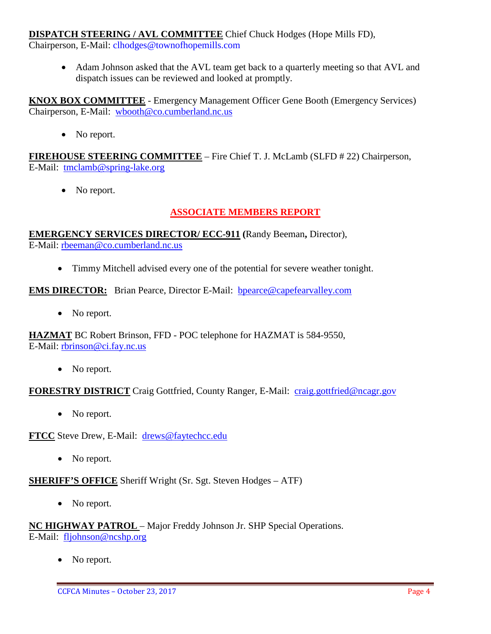## **DISPATCH STEERING / AVL COMMITTEE** Chief Chuck Hodges (Hope Mills FD),

Chairperson, E-Mail: clhodges@townofhopemills.com

• Adam Johnson asked that the AVL team get back to a quarterly meeting so that AVL and dispatch issues can be reviewed and looked at promptly.

**KNOX BOX COMMITTEE** - Emergency Management Officer Gene Booth (Emergency Services) Chairperson, E-Mail: [wbooth@co.cumberland.nc.us](mailto:wbooth@co.cumberland.nc.us)

• No report.

**FIREHOUSE STEERING COMMITTEE** – Fire Chief T. J. McLamb (SLFD # 22) Chairperson, E-Mail: [tmclamb@spring-lake.org](mailto:tmclamb@spring-lake.org)

• No report.

# **ASSOCIATE MEMBERS REPORT**

**EMERGENCY SERVICES DIRECTOR/ ECC-911 (**Randy Beeman**,** Director), E-Mail: [rbeeman@co.cumberland.nc.us](mailto:rbeeman@co.cumberland.nc.us)

• Timmy Mitchell advised every one of the potential for severe weather tonight.

**EMS DIRECTOR:** Brian Pearce, Director E-Mail: **bpearce@capefearvalley.com** 

• No report.

**HAZMAT** BC Robert Brinson, FFD - POC telephone for HAZMAT is 584-9550, E-Mail: [rbrinson@ci.fay.nc.us](mailto:rbrinson@ci.fay.nc.us)

• No report.

**FORESTRY DISTRICT** Craig Gottfried, County Ranger, E-Mail: [craig.gottfried@ncagr.gov](mailto:craig.gottfried@ncagr.gov)

• No report.

**FTCC** Steve Drew, E-Mail: [drews@faytechcc.edu](mailto:drews@faytechcc.edu)

• No report.

**SHERIFF'S OFFICE** Sheriff Wright (Sr. Sgt. Steven Hodges – ATF)

• No report.

**NC HIGHWAY PATROL** – Major Freddy Johnson Jr. SHP Special Operations. E-Mail: [fljohnson@ncshp.org](mailto:fljohnson@ncshp.org)

No report.

CCFCA Minutes – October 23, 2017 Page 4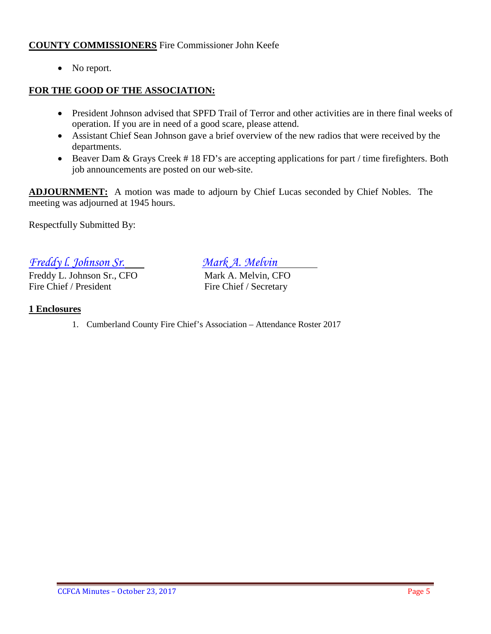## **COUNTY COMMISSIONERS** Fire Commissioner John Keefe

• No report.

## **FOR THE GOOD OF THE ASSOCIATION:**

- President Johnson advised that SPFD Trail of Terror and other activities are in there final weeks of operation. If you are in need of a good scare, please attend.
- Assistant Chief Sean Johnson gave a brief overview of the new radios that were received by the departments.
- Beaver Dam & Grays Creek #18 FD's are accepting applications for part / time firefighters. Both job announcements are posted on our web-site.

**ADJOURNMENT:** A motion was made to adjourn by Chief Lucas seconded by Chief Nobles. The meeting was adjourned at 1945 hours.

Respectfully Submitted By:

*Freddy I. Johnson Sr.*<br> *Freddy L. Johnson Sr., CFO Mark A. Melvin. CFO* 

Freddy L. Johnson Sr., CFO<br>Fire Chief / President

Fire Chief / Secretary

### **1 Enclosures**

1. Cumberland County Fire Chief's Association – Attendance Roster 2017